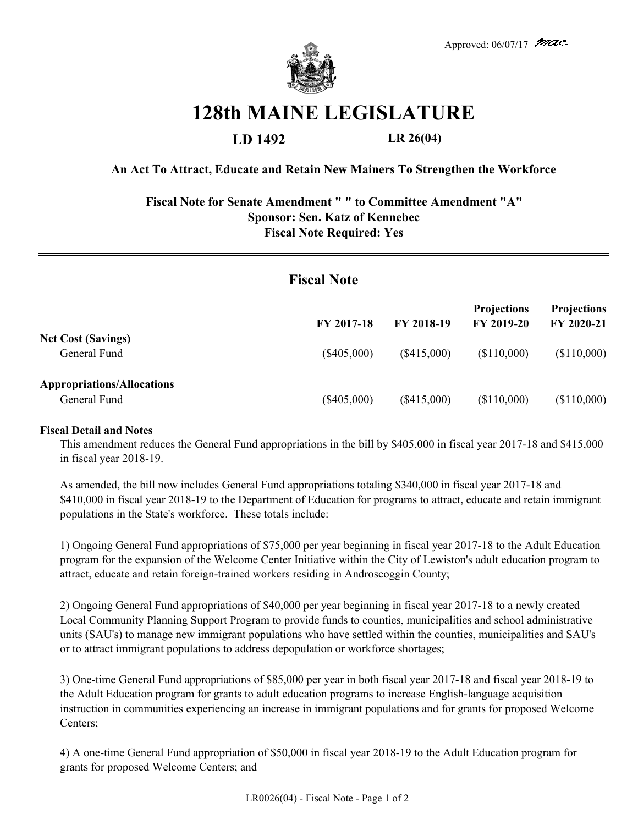

## **128th MAINE LEGISLATURE**

**LD 1492 LR 26(04)**

**An Act To Attract, Educate and Retain New Mainers To Strengthen the Workforce**

**Fiscal Note for Senate Amendment " " to Committee Amendment "A" Sponsor: Sen. Katz of Kennebec Fiscal Note Required: Yes**

| <b>Fiscal Note</b>                                |               |               |                                  |                                  |
|---------------------------------------------------|---------------|---------------|----------------------------------|----------------------------------|
|                                                   | FY 2017-18    | FY 2018-19    | <b>Projections</b><br>FY 2019-20 | <b>Projections</b><br>FY 2020-21 |
| <b>Net Cost (Savings)</b><br>General Fund         | $(\$405,000)$ | $(\$415,000)$ | (\$110,000)                      | (\$110,000)                      |
| <b>Appropriations/Allocations</b><br>General Fund | $(\$405,000)$ | (\$415,000)   | (\$110,000)                      | (\$110,000)                      |

## **Fiscal Detail and Notes**

This amendment reduces the General Fund appropriations in the bill by \$405,000 in fiscal year 2017-18 and \$415,000 in fiscal year 2018-19.

As amended, the bill now includes General Fund appropriations totaling \$340,000 in fiscal year 2017-18 and \$410,000 in fiscal year 2018-19 to the Department of Education for programs to attract, educate and retain immigrant populations in the State's workforce. These totals include:

1) Ongoing General Fund appropriations of \$75,000 per year beginning in fiscal year 2017-18 to the Adult Education program for the expansion of the Welcome Center Initiative within the City of Lewiston's adult education program to attract, educate and retain foreign-trained workers residing in Androscoggin County;

2) Ongoing General Fund appropriations of \$40,000 per year beginning in fiscal year 2017-18 to a newly created Local Community Planning Support Program to provide funds to counties, municipalities and school administrative units (SAU's) to manage new immigrant populations who have settled within the counties, municipalities and SAU's or to attract immigrant populations to address depopulation or workforce shortages;

3) One-time General Fund appropriations of \$85,000 per year in both fiscal year 2017-18 and fiscal year 2018-19 to the Adult Education program for grants to adult education programs to increase English-language acquisition instruction in communities experiencing an increase in immigrant populations and for grants for proposed Welcome Centers;

4) A one-time General Fund appropriation of \$50,000 in fiscal year 2018-19 to the Adult Education program for grants for proposed Welcome Centers; and